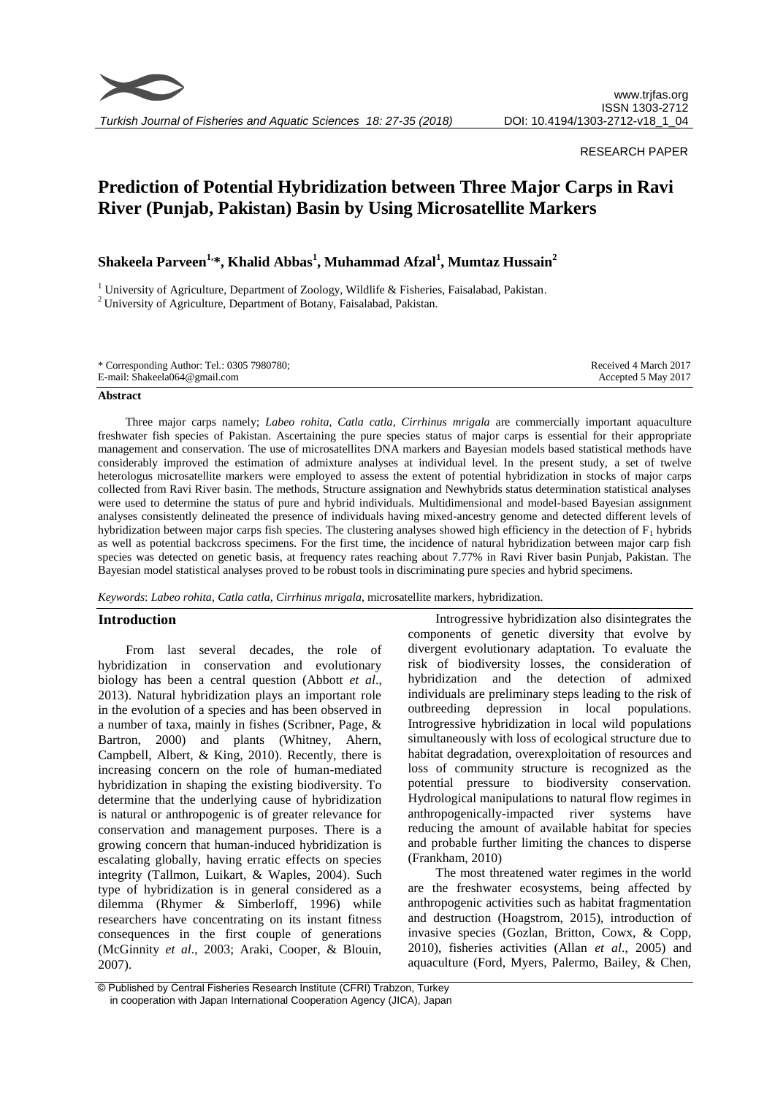

*Turkish Journal of Fisheries and Aquatic Sciences 18: 27-35 (2018)*

# RESEARCH PAPER

# **Prediction of Potential Hybridization between Three Major Carps in Ravi River (Punjab, Pakistan) Basin by Using Microsatellite Markers**

# **Shakeela Parveen1,\*, Khalid Abbas<sup>1</sup> , Muhammad Afzal<sup>1</sup> , Mumtaz Hussain<sup>2</sup>**

<sup>1</sup> University of Agriculture, Department of Zoology, Wildlife & Fisheries, Faisalabad, Pakistan. <sup>2</sup> University of Agriculture, Department of Botany, Faisalabad, Pakistan.

| * Corresponding Author: Tel.: 0305 7980780; | Received 4 March 2017 |
|---------------------------------------------|-----------------------|
| E-mail: Shakeela064@gmail.com               | Accepted 5 May 2017   |

#### **Abstract**

Three major carps namely; *Labeo rohita, Catla catla, Cirrhinus mrigala* are commercially important aquaculture freshwater fish species of Pakistan. Ascertaining the pure species status of major carps is essential for their appropriate management and conservation. The use of microsatellites DNA markers and Bayesian models based statistical methods have considerably improved the estimation of admixture analyses at individual level. In the present study, a set of twelve heterologus microsatellite markers were employed to assess the extent of potential hybridization in stocks of major carps collected from Ravi River basin. The methods, Structure assignation and Newhybrids status determination statistical analyses were used to determine the status of pure and hybrid individuals. Multidimensional and model-based Bayesian assignment analyses consistently delineated the presence of individuals having mixed-ancestry genome and detected different levels of hybridization between major carps fish species. The clustering analyses showed high efficiency in the detection of  $F_1$  hybrids as well as potential backcross specimens. For the first time, the incidence of natural hybridization between major carp fish species was detected on genetic basis, at frequency rates reaching about 7.77% in Ravi River basin Punjab, Pakistan. The Bayesian model statistical analyses proved to be robust tools in discriminating pure species and hybrid specimens.

*Keywords*: *Labeo rohita*, *Catla catla, Cirrhinus mrigala*, microsatellite markers, hybridization.

# **Introduction**

From last several decades, the role of hybridization in conservation and evolutionary biology has been a central question (Abbott *et al*., 2013). Natural hybridization plays an important role in the evolution of a species and has been observed in a number of taxa, mainly in fishes (Scribner, Page, & Bartron, 2000) and plants (Whitney, Ahern, Campbell, Albert, & King, 2010). Recently, there is increasing concern on the role of human-mediated hybridization in shaping the existing biodiversity. To determine that the underlying cause of hybridization is natural or anthropogenic is of greater relevance for conservation and management purposes. There is a growing concern that human-induced hybridization is escalating globally, having erratic effects on species integrity (Tallmon, Luikart, & Waples, 2004). Such type of hybridization is in general considered as a dilemma (Rhymer & Simberloff, 1996) while researchers have concentrating on its instant fitness consequences in the first couple of generations (McGinnity *et al*., 2003; Araki, Cooper, & Blouin, 2007).

Introgressive hybridization also disintegrates the components of genetic diversity that evolve by divergent evolutionary adaptation. To evaluate the risk of biodiversity losses, the consideration of hybridization and the detection of admixed individuals are preliminary steps leading to the risk of outbreeding depression in local populations. Introgressive hybridization in local wild populations simultaneously with loss of ecological structure due to habitat degradation, overexploitation of resources and loss of community structure is recognized as the potential pressure to biodiversity conservation. Hydrological manipulations to natural flow regimes in anthropogenically-impacted river systems have reducing the amount of available habitat for species and probable further limiting the chances to disperse (Frankham, 2010)

The most threatened water regimes in the world are the freshwater ecosystems, being affected by anthropogenic activities such as habitat fragmentation and destruction (Hoagstrom, 2015), introduction of invasive species (Gozlan, Britton, Cowx, & Copp, 2010), fisheries activities (Allan *et al*., 2005) and aquaculture (Ford, Myers, Palermo, Bailey, & Chen,

<sup>©</sup> Published by Central Fisheries Research Institute (CFRI) Trabzon, Turkey in cooperation with Japan International Cooperation Agency (JICA), Japan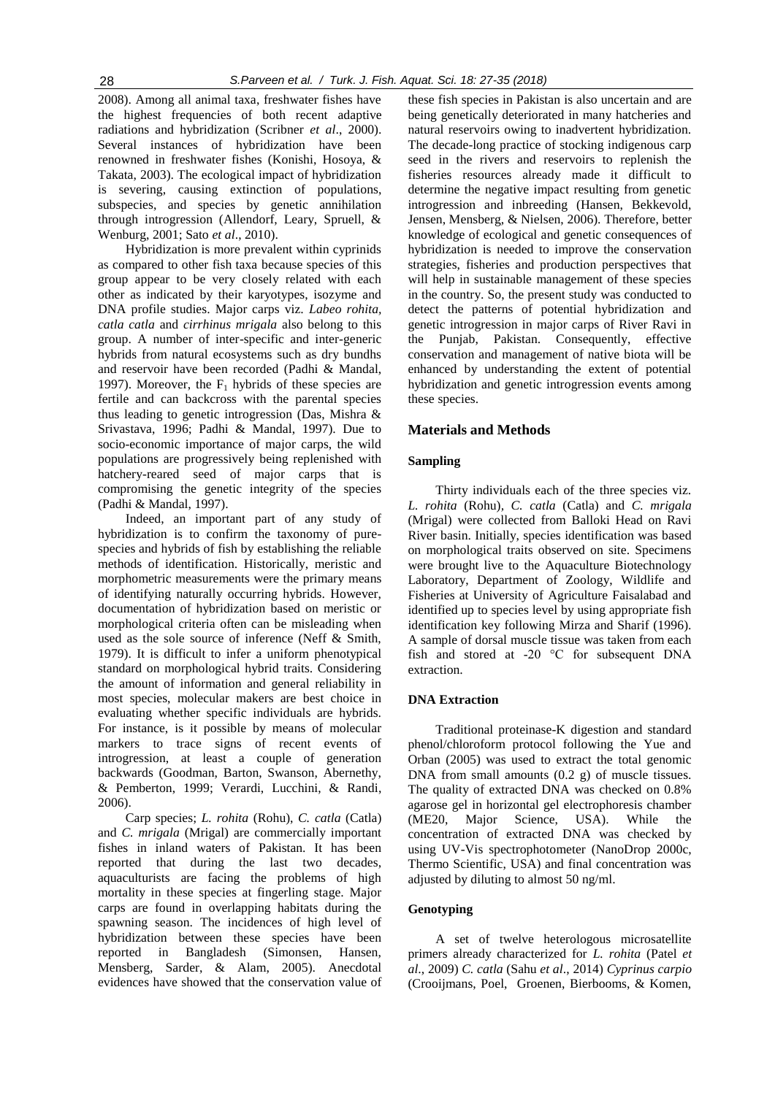2008). Among all animal taxa, freshwater fishes have the highest frequencies of both recent adaptive radiations and hybridization (Scribner *et al*., 2000). Several instances of hybridization have been renowned in freshwater fishes (Konishi, Hosoya, & Takata, 2003). The ecological impact of hybridization is severing, causing extinction of populations, subspecies, and species by genetic annihilation through introgression (Allendorf, Leary, Spruell, & Wenburg, 2001; Sato *et al*., 2010).

Hybridization is more prevalent within cyprinids as compared to other fish taxa because species of this group appear to be very closely related with each other as indicated by their karyotypes, isozyme and DNA profile studies. Major carps viz. *Labeo rohita, catla catla* and *cirrhinus mrigala* also belong to this group. A number of inter-specific and inter-generic hybrids from natural ecosystems such as dry bundhs and reservoir have been recorded (Padhi & Mandal, 1997). Moreover, the  $F_1$  hybrids of these species are fertile and can backcross with the parental species thus leading to genetic introgression (Das, Mishra & Srivastava, 1996; Padhi & Mandal, 1997). Due to socio-economic importance of major carps, the wild populations are progressively being replenished with hatchery-reared seed of major carps that is compromising the genetic integrity of the species (Padhi & Mandal, 1997).

Indeed, an important part of any study of hybridization is to confirm the taxonomy of purespecies and hybrids of fish by establishing the reliable methods of identification. Historically, meristic and morphometric measurements were the primary means of identifying naturally occurring hybrids. However, documentation of hybridization based on meristic or morphological criteria often can be misleading when used as the sole source of inference (Neff & Smith, 1979). It is difficult to infer a uniform phenotypical standard on morphological hybrid traits. Considering the amount of information and general reliability in most species, molecular makers are best choice in evaluating whether specific individuals are hybrids. For instance, is it possible by means of molecular markers to trace signs of recent events of introgression, at least a couple of generation backwards (Goodman, Barton, Swanson, Abernethy, & Pemberton, 1999; Verardi, Lucchini, & Randi, 2006).

Carp species; *L. rohita* (Rohu), *C. catla* (Catla) and *C. mrigala* (Mrigal) are commercially important fishes in inland waters of Pakistan. It has been reported that during the last two decades, aquaculturists are facing the problems of high mortality in these species at fingerling stage. Major carps are found in overlapping habitats during the spawning season. The incidences of high level of hybridization between these species have been reported in Bangladesh (Simonsen, Hansen, Mensberg, Sarder, & Alam, 2005). Anecdotal evidences have showed that the conservation value of

these fish species in Pakistan is also uncertain and are being genetically deteriorated in many hatcheries and natural reservoirs owing to inadvertent hybridization. The decade-long practice of stocking indigenous carp seed in the rivers and reservoirs to replenish the fisheries resources already made it difficult to determine the negative impact resulting from genetic introgression and inbreeding (Hansen, Bekkevold, Jensen, Mensberg, & Nielsen, 2006). Therefore, better knowledge of ecological and genetic consequences of hybridization is needed to improve the conservation strategies, fisheries and production perspectives that will help in sustainable management of these species in the country. So, the present study was conducted to detect the patterns of potential hybridization and genetic introgression in major carps of River Ravi in the Punjab, Pakistan. Consequently, effective conservation and management of native biota will be enhanced by understanding the extent of potential hybridization and genetic introgression events among these species.

## **Materials and Methods**

# **Sampling**

Thirty individuals each of the three species viz. *L. rohita* (Rohu)*, C. catla* (Catla) and *C. mrigala* (Mrigal) were collected from Balloki Head on Ravi River basin. Initially, species identification was based on morphological traits observed on site. Specimens were brought live to the Aquaculture Biotechnology Laboratory, Department of Zoology, Wildlife and Fisheries at University of Agriculture Faisalabad and identified up to species level by using appropriate fish identification key following Mirza and Sharif (1996). A sample of dorsal muscle tissue was taken from each fish and stored at -20 °C for subsequent DNA extraction.

#### **DNA Extraction**

Traditional proteinase-K digestion and standard phenol/chloroform protocol following the Yue and Orban (2005) was used to extract the total genomic DNA from small amounts (0.2 g) of muscle tissues. The quality of extracted DNA was checked on 0.8% agarose gel in horizontal gel electrophoresis chamber (ME20, Major Science, USA). While the concentration of extracted DNA was checked by using UV-Vis spectrophotometer (NanoDrop 2000c, Thermo Scientific, USA) and final concentration was adjusted by diluting to almost 50 ng/ml.

# **Genotyping**

A set of twelve heterologous microsatellite primers already characterized for *L. rohita* (Patel *et al*., 2009) *C. catla* (Sahu *et al*., 2014) *Cyprinus carpio* (Crooijmans, Poel, Groenen, Bierbooms, & Komen,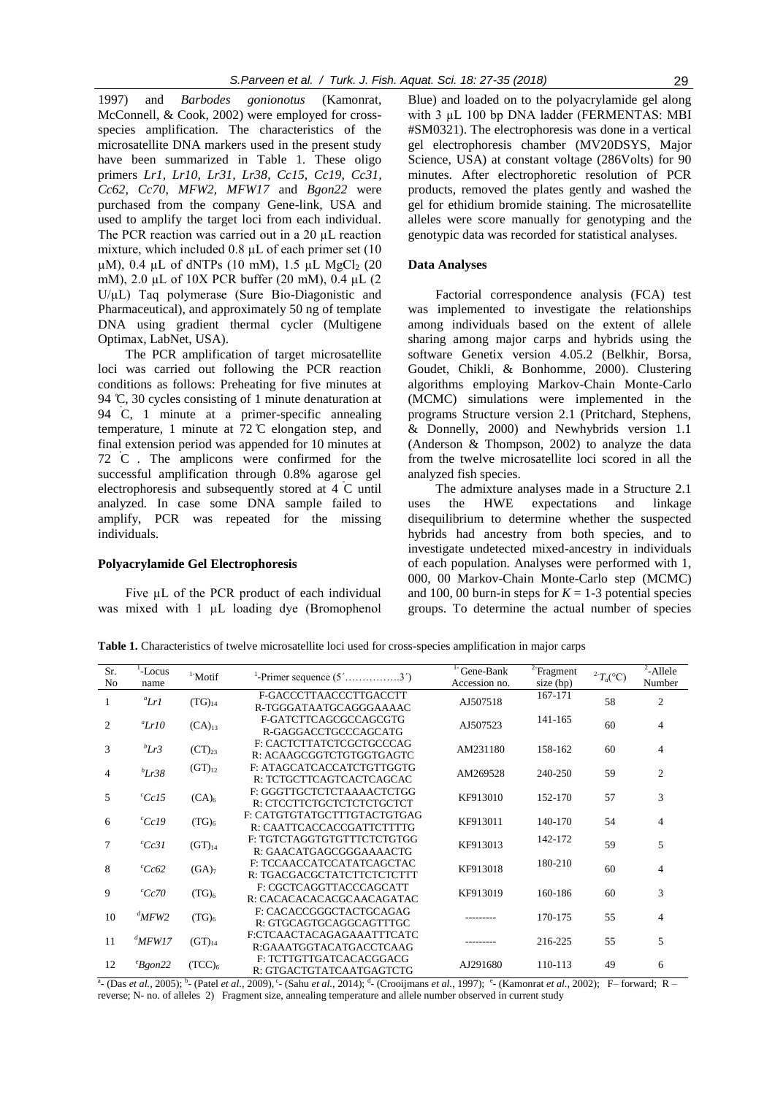1997) and *Barbodes gonionotus* (Kamonrat, McConnell, & Cook, 2002) were employed for crossspecies amplification. The characteristics of the microsatellite DNA markers used in the present study have been summarized in Table 1. These oligo primers *Lr1, Lr10, Lr31, Lr38*, *Cc15*, *Cc19, Cc31, Cc62, Cc70*, *MFW2, MFW17* and *Bgon22* were purchased from the company Gene-link, USA and used to amplify the target loci from each individual. The PCR reaction was carried out in a 20  $\mu$ L reaction mixture, which included 0.8 µL of each primer set (10  $\mu$ M), 0.4  $\mu$ L of dNTPs (10 mM), 1.5  $\mu$ L MgCl<sub>2</sub> (20 mM), 2.0 µL of 10X PCR buffer (20 mM), 0.4 µL (2 U/µL) Taq polymerase (Sure Bio-Diagonistic and Pharmaceutical), and approximately 50 ng of template DNA using gradient thermal cycler (Multigene Optimax, LabNet, USA).

The PCR amplification of target microsatellite loci was carried out following the PCR reaction conditions as follows: Preheating for five minutes at 94 C, 30 cycles consisting of 1 minute denaturation at 94 C, 1 minute at a primer-specific annealing temperature, 1 minute at  $72^{\circ}$ C elongation step, and final extension period was appended for 10 minutes at 72 C . The amplicons were confirmed for the successful amplification through 0.8% agarose gel electrophoresis and subsequently stored at 4 C until analyzed*.* In case some DNA sample failed to amplify, PCR was repeated for the missing individuals.

#### **Polyacrylamide Gel Electrophoresis**

Five  $\mu$ L of the PCR product of each individual was mixed with 1  $\mu$ L loading dye (Bromophenol Blue) and loaded on to the polyacrylamide gel along with 3 µL 100 bp DNA ladder (FERMENTAS: MBI #SM0321). The electrophoresis was done in a vertical gel electrophoresis chamber (MV20DSYS, Major Science, USA) at constant voltage (286Volts) for 90 minutes. After electrophoretic resolution of PCR products, removed the plates gently and washed the gel for ethidium bromide staining. The microsatellite alleles were score manually for genotyping and the genotypic data was recorded for statistical analyses.

# **Data Analyses**

Factorial correspondence analysis (FCA) test was implemented to investigate the relationships among individuals based on the extent of allele sharing among major carps and hybrids using the software Genetix version 4.05.2 (Belkhir, Borsa, Goudet, Chikli, & Bonhomme, 2000). Clustering algorithms employing Markov-Chain Monte-Carlo (MCMC) simulations were implemented in the programs Structure version 2.1 (Pritchard, Stephens, & Donnelly, 2000) and Newhybrids version 1.1 (Anderson & Thompson, 2002) to analyze the data from the twelve microsatellite loci scored in all the analyzed fish species.

The admixture analyses made in a Structure 2.1 uses the HWE expectations and linkage disequilibrium to determine whether the suspected hybrids had ancestry from both species, and to investigate undetected mixed-ancestry in individuals of each population. Analyses were performed with 1, 000, 00 Markov-Chain Monte-Carlo step (MCMC) and 100, 00 burn-in steps for  $K = 1-3$  potential species groups. To determine the actual number of species

**Table 1.** Characteristics of twelve microsatellite loci used for cross-species amplification in major carps

| Sr.<br>No | -Locus<br>name | $1$ -Motif        | <sup>1</sup> -Primer sequence $(5'$ 3 <sup>'</sup> )     | <sup>1-</sup> Gene-Bank<br>Accession no. | $2$ Fragment<br>size (bp) | ${}^{2}T_a$ (°C) | <sup>2</sup> -Allele<br>Number |
|-----------|----------------|-------------------|----------------------------------------------------------|------------------------------------------|---------------------------|------------------|--------------------------------|
|           | $^a$ Lr1       | $(TG)_{14}$       | F-GACCCTTAACCCTTGACCTT<br>R-TGGGATAATGCAGGGAAAAC         | AJ507518                                 | 167-171                   | 58               | $\mathfrak{2}$                 |
| 2         | $^a$ Lr10      | $(CA)_{13}$       | F-GATCTTCAGCGCCAGCGTG<br>R-GAGGACCTGCCCAGCATG            | AJ507523                                 | 141-165                   | 60               | 4                              |
| 3         | bLr3           | $(CT)_{23}$       | F: CACTCTTATCTCGCTGCCCAG<br>R: ACAAGCGGTCTGTGGTGAGTC     | AM231180                                 | 158-162                   | 60               | $\overline{4}$                 |
| 4         | $b_{Lr}$ 38    | $(GT)_{12}$       | F: ATAGCATCACCATCTGTTGGTG<br>R: TCTGCTTCAGTCACTCAGCAC    | AM269528                                 | 240-250                   | 59               | $\overline{2}$                 |
| 5         | $^{c}Cc15$     | (CA) <sub>6</sub> | F: GGGTTGCTCTCTAAAACTCTGG<br>R: CTCCTTCTGCTCTCTCTGCTCT   | KF913010                                 | 152-170                   | 57               | 3                              |
| 6         | $^{c}Cc19$     | (TG) <sub>6</sub> | F: CATGTGTATGCTTTGTACTGTGAG<br>R: CAATTCACCACCGATTCTTTTG | KF913011                                 | 140-170                   | 54               | $\overline{4}$                 |
| 7         | $^{c}Cc31$     | $(GT)_{14}$       | F: TGTCTAGGTGTGTTTCTCTGTGG<br>R: GAACATGAGCGGGAAAACTG    | KF913013                                 | 142-172                   | 59               | 5                              |
| 8         | $^{c}$ Cc62    | (GA) <sub>7</sub> | F: TCCAACCATCCATATCAGCTAC<br>R: TGACGACGCTATCTTCTCTCTTT  | KF913018                                 | 180-210                   | 60               | 4                              |
| 9         | $^{c}$ Cc70    | (TG) <sub>6</sub> | F: CGCTCAGGTTACCCAGCATT<br>R: CACACACACACGCAACAGATAC     | KF913019                                 | 160-186                   | 60               | 3                              |
| 10        | $^d$ MFW2      | $(TG)_{6}$        | F: CACACCGGGCTACTGCAGAG<br>R: GTGCAGTGCAGGCAGTTTGC       |                                          | 170-175                   | 55               | 4                              |
| 11        | $^d$ MFW17     | $(GT)_{14}$       | F:CTCAACTACAGAGAAATTTCATC<br>R:GAAATGGTACATGACCTCAAG     |                                          | 216-225                   | 55               | 5                              |
| 12        | $e_{Bgon22}$   | $(TCC)_{6}$       | F: TCTTGTTGATCACACGGACG<br>R: GTGACTGTATCAATGAGTCTG      | AJ291680                                 | 110-113                   | 49               | 6                              |

<sup>a</sup> (Das *et al.,* 2005); <sup>b</sup> (Patel *et al.,* 2009),  $\cdot$  (Sahu *et al.,* 2014); <sup>d</sup> (Crooijmans *et al.,* 1997); <sup>e</sup> (Kamonrat *et al.*, 2002); F– forward; R– reverse; N- no. of alleles 2) Fragment size, annealing temperature and allele number observed in current study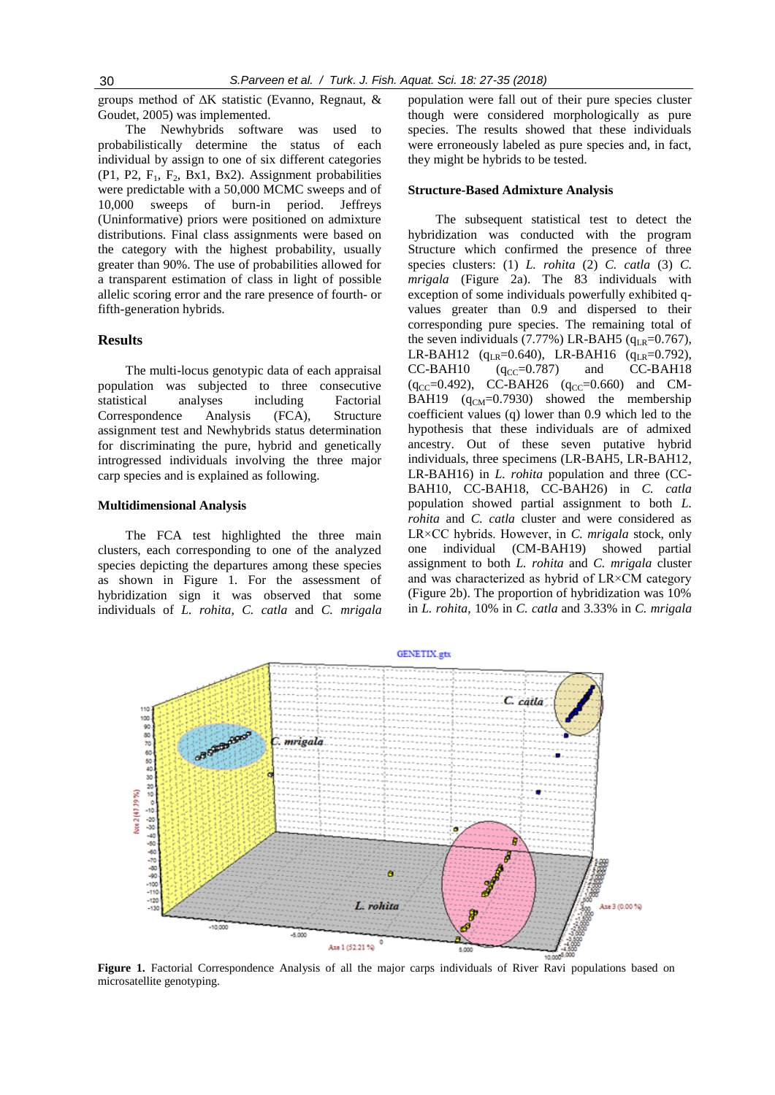groups method of ΔK statistic (Evanno, Regnaut, & Goudet, 2005) was implemented.

The Newhybrids software was used to probabilistically determine the status of each individual by assign to one of six different categories  $(P1, P2, F<sub>1</sub>, F<sub>2</sub>, Bx1, Bx2)$ . Assignment probabilities were predictable with a 50,000 MCMC sweeps and of 10,000 sweeps of burn-in period. Jeffreys (Uninformative) priors were positioned on admixture distributions. Final class assignments were based on the category with the highest probability, usually greater than 90%. The use of probabilities allowed for a transparent estimation of class in light of possible allelic scoring error and the rare presence of fourth- or fifth-generation hybrids.

# **Results**

The multi-locus genotypic data of each appraisal population was subjected to three consecutive statistical analyses including Factorial Correspondence Analysis (FCA), Structure assignment test and Newhybrids status determination for discriminating the pure, hybrid and genetically introgressed individuals involving the three major carp species and is explained as following.

#### **Multidimensional Analysis**

The FCA test highlighted the three main clusters, each corresponding to one of the analyzed species depicting the departures among these species as shown in Figure 1. For the assessment of hybridization sign it was observed that some individuals of *L. rohita, C. catla* and *C. mrigala*  population were fall out of their pure species cluster though were considered morphologically as pure species. The results showed that these individuals were erroneously labeled as pure species and, in fact, they might be hybrids to be tested*.* 

### **Structure-Based Admixture Analysis**

The subsequent statistical test to detect the hybridization was conducted with the program Structure which confirmed the presence of three species clusters: (1) *L. rohita* (2) *C. catla* (3) *C. mrigala* (Figure 2a). The 83 individuals with exception of some individuals powerfully exhibited qvalues greater than 0.9 and dispersed to their corresponding pure species. The remaining total of the seven individuals (7.77%) LR-BAH5 ( $q_{LR}$ =0.767), LR-BAH12 ( $q_{LR}$ =0.640), LR-BAH16 ( $q_{LR}$ =0.792),<br>CC-BAH10 ( $q_{CC}$ =0.787) and CC-BAH18  $CC-BAH10$  (q<sub>cc</sub>=0.787) and  $(q_{CC}=0.492)$ , CC-BAH26  $(q_{CC}=0.660)$  and CM-BAH19  $(q_{CM}=0.7930)$  showed the membership coefficient values (q) lower than 0.9 which led to the hypothesis that these individuals are of admixed ancestry. Out of these seven putative hybrid individuals, three specimens (LR-BAH5, LR-BAH12, LR-BAH16) in *L. rohita* population and three (CC-BAH10, CC-BAH18, CC-BAH26) in *C. catla*  population showed partial assignment to both *L. rohita* and *C. catla* cluster and were considered as LR×CC hybrids. However, in *C. mrigala* stock, only one individual (CM-BAH19) showed partial assignment to both *L. rohita* and *C. mrigala* cluster and was characterized as hybrid of LR×CM category (Figure 2b). The proportion of hybridization was 10% in *L. rohita*, 10% in *C. catla* and 3.33% in *C. mrigala* 



Figure 1. Factorial Correspondence Analysis of all the major carps individuals of River Ravi populations based on microsatellite genotyping.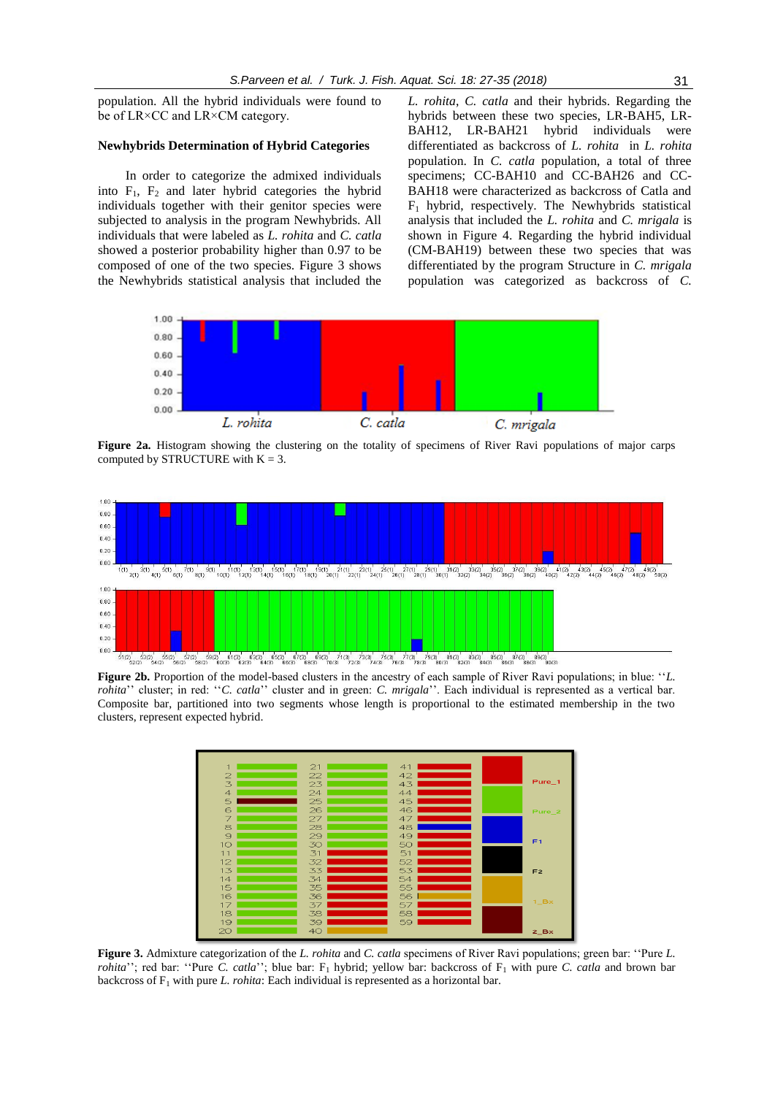population. All the hybrid individuals were found to be of LR×CC and LR×CM category.

#### **Newhybrids Determination of Hybrid Categories**

In order to categorize the admixed individuals into  $F_1$ ,  $F_2$  and later hybrid categories the hybrid individuals together with their genitor species were subjected to analysis in the program Newhybrids. All individuals that were labeled as *L. rohita* and *C. catla*  showed a posterior probability higher than 0.97 to be composed of one of the two species. Figure 3 shows the Newhybrids statistical analysis that included the

*L. rohita*, *C. catla* and their hybrids. Regarding the hybrids between these two species, LR-BAH5, LR-BAH12, LR-BAH21 hybrid individuals were differentiated as backcross of *L. rohita* in *L. rohita* population. In *C. catla* population, a total of three specimens; CC-BAH10 and CC-BAH26 and CC-BAH18 were characterized as backcross of Catla and  $F_1$  hybrid, respectively. The Newhybrids statistical analysis that included the *L. rohita* and *C. mrigala* is shown in Figure 4. Regarding the hybrid individual (CM-BAH19) between these two species that was differentiated by the program Structure in *C. mrigala*  population was categorized as backcross of *C.* 



Figure 2a. Histogram showing the clustering on the totality of specimens of River Ravi populations of major carps computed by STRUCTURE with  $K = 3$ .



**Figure 2b.** Proportion of the model-based clusters in the ancestry of each sample of River Ravi populations; in blue: "*L*. *rohita*'' cluster; in red: ''*C. catla*'' cluster and in green: *C. mrigala*''. Each individual is represented as a vertical bar. Composite bar, partitioned into two segments whose length is proportional to the estimated membership in the two clusters, represent expected hybrid.



**Figure 3.** Admixture categorization of the *L. rohita* and *C. catla* specimens of River Ravi populations; green bar: ''Pure *L. rohita*''; red bar: "Pure *C. catla*''; blue bar:  $F_1$  hybrid; yellow bar: backcross of  $F_1$  with pure *C. catla* and brown bar backcross of F<sub>1</sub> with pure *L. rohita*: Each individual is represented as a horizontal bar.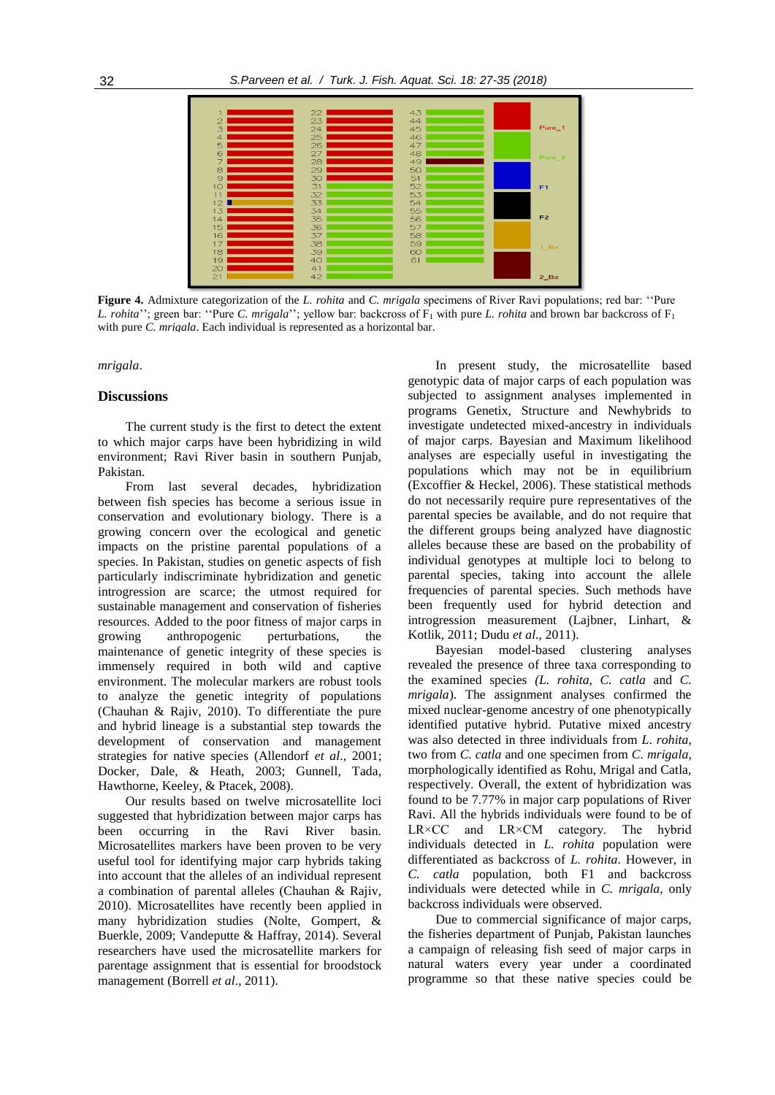

**Figure 4.** Admixture categorization of the *L. rohita* and *C. mrigala* specimens of River Ravi populations; red bar: ''Pure *L. rohita*''; green bar: ''Pure *C. mrigala*''; yellow bar: backcross of  $F_1$  with pure *L. rohita* and brown bar backcross of  $F_1$ with pure *C. mrigala*. Each individual is represented as a horizontal bar.

*mrigala*.

# **Discussions**

The current study is the first to detect the extent to which major carps have been hybridizing in wild environment; Ravi River basin in southern Punjab, Pakistan.

From last several decades, hybridization between fish species has become a serious issue in conservation and evolutionary biology. There is a growing concern over the ecological and genetic impacts on the pristine parental populations of a species. In Pakistan, studies on genetic aspects of fish particularly indiscriminate hybridization and genetic introgression are scarce; the utmost required for sustainable management and conservation of fisheries resources. Added to the poor fitness of major carps in growing anthropogenic perturbations, the maintenance of genetic integrity of these species is immensely required in both wild and captive environment. The molecular markers are robust tools to analyze the genetic integrity of populations (Chauhan & Rajiv, 2010). To differentiate the pure and hybrid lineage is a substantial step towards the development of conservation and management strategies for native species (Allendorf *et al*., 2001; Docker, Dale, & Heath, 2003; Gunnell, Tada, Hawthorne, Keeley, & Ptacek, 2008).

Our results based on twelve microsatellite loci suggested that hybridization between major carps has been occurring in the Ravi River basin. Microsatellites markers have been proven to be very useful tool for identifying major carp hybrids taking into account that the alleles of an individual represent a combination of parental alleles (Chauhan & Rajiv, 2010). Microsatellites have recently been applied in many hybridization studies (Nolte, Gompert, & Buerkle, 2009; Vandeputte & Haffray, 2014). Several researchers have used the microsatellite markers for parentage assignment that is essential for broodstock management (Borrell *et al*., 2011).

In present study, the microsatellite based genotypic data of major carps of each population was subjected to assignment analyses implemented in programs Genetix, Structure and Newhybrids to investigate undetected mixed-ancestry in individuals of major carps. Bayesian and Maximum likelihood analyses are especially useful in investigating the populations which may not be in equilibrium (Excoffier & Heckel, 2006). These statistical methods do not necessarily require pure representatives of the parental species be available, and do not require that the different groups being analyzed have diagnostic alleles because these are based on the probability of individual genotypes at multiple loci to belong to parental species, taking into account the allele frequencies of parental species. Such methods have been frequently used for hybrid detection and introgression measurement (Lajbner, Linhart, & Kotlik, 2011; Dudu *et al*., 2011).

Bayesian model-based clustering analyses revealed the presence of three taxa corresponding to the examined species *(L. rohita, C. catla* and *C. mrigala*). The assignment analyses confirmed the mixed nuclear-genome ancestry of one phenotypically identified putative hybrid. Putative mixed ancestry was also detected in three individuals from *L*. *rohita*, two from *C. catla* and one specimen from *C. mrigala,*  morphologically identified as Rohu, Mrigal and Catla, respectively. Overall, the extent of hybridization was found to be 7.77% in major carp populations of River Ravi. All the hybrids individuals were found to be of LR×CC and LR×CM category. The hybrid individuals detected in *L. rohita* population were differentiated as backcross of *L. rohita*. However, in *C. catla* population, both F1 and backcross individuals were detected while in *C. mrigala*, only backcross individuals were observed.

Due to commercial significance of major carps, the fisheries department of Punjab, Pakistan launches a campaign of releasing fish seed of major carps in natural waters every year under a coordinated programme so that these native species could be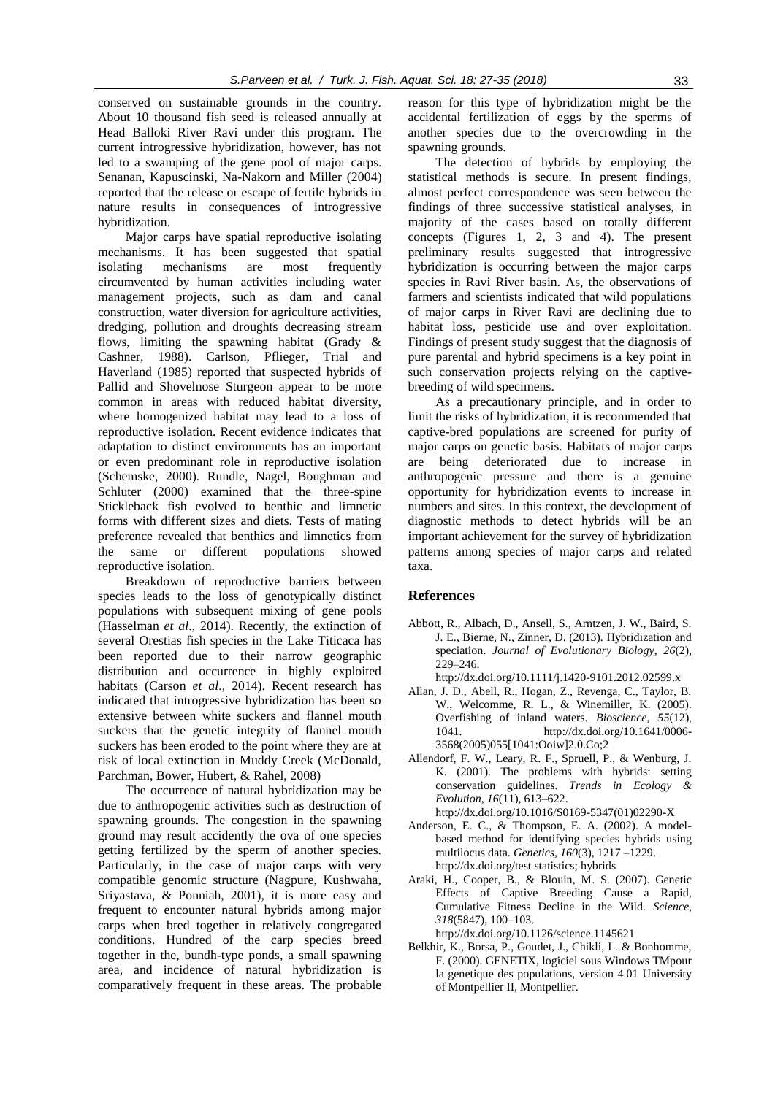conserved on sustainable grounds in the country. About 10 thousand fish seed is released annually at Head Balloki River Ravi under this program. The current introgressive hybridization, however, has not led to a swamping of the gene pool of major carps. Senanan, Kapuscinski, Na-Nakorn and Miller (2004) reported that the release or escape of fertile hybrids in nature results in consequences of introgressive hybridization.

Major carps have spatial reproductive isolating mechanisms. It has been suggested that spatial isolating mechanisms are most frequently circumvented by human activities including water management projects, such as dam and canal construction, water diversion for agriculture activities, dredging, pollution and droughts decreasing stream flows, limiting the spawning habitat (Grady & Cashner, 1988). Carlson, Pflieger, Trial and Haverland (1985) reported that suspected hybrids of Pallid and Shovelnose Sturgeon appear to be more common in areas with reduced habitat diversity, where homogenized habitat may lead to a loss of reproductive isolation. Recent evidence indicates that adaptation to distinct environments has an important or even predominant role in reproductive isolation (Schemske, 2000). Rundle, Nagel, Boughman and Schluter (2000) examined that the three-spine Stickleback fish evolved to benthic and limnetic forms with different sizes and diets. Tests of mating preference revealed that benthics and limnetics from the same or different populations showed reproductive isolation.

Breakdown of reproductive barriers between species leads to the loss of genotypically distinct populations with subsequent mixing of gene pools (Hasselman *et al*., 2014). Recently, the extinction of several Orestias fish species in the Lake Titicaca has been reported due to their narrow geographic distribution and occurrence in highly exploited habitats (Carson *et al*., 2014). Recent research has indicated that introgressive hybridization has been so extensive between white suckers and flannel mouth suckers that the genetic integrity of flannel mouth suckers has been eroded to the point where they are at risk of local extinction in Muddy Creek (McDonald, Parchman, Bower, Hubert, & Rahel, 2008)

The occurrence of natural hybridization may be due to anthropogenic activities such as destruction of spawning grounds. The congestion in the spawning ground may result accidently the ova of one species getting fertilized by the sperm of another species. Particularly, in the case of major carps with very compatible genomic structure (Nagpure, Kushwaha, Sriyastava, & Ponniah, 2001), it is more easy and frequent to encounter natural hybrids among major carps when bred together in relatively congregated conditions. Hundred of the carp species breed together in the, bundh-type ponds, a small spawning area, and incidence of natural hybridization is comparatively frequent in these areas. The probable reason for this type of hybridization might be the accidental fertilization of eggs by the sperms of another species due to the overcrowding in the spawning grounds.

The detection of hybrids by employing the statistical methods is secure. In present findings, almost perfect correspondence was seen between the findings of three successive statistical analyses, in majority of the cases based on totally different concepts (Figures 1, 2, 3 and 4). The present preliminary results suggested that introgressive hybridization is occurring between the major carps species in Ravi River basin. As, the observations of farmers and scientists indicated that wild populations of major carps in River Ravi are declining due to habitat loss, pesticide use and over exploitation. Findings of present study suggest that the diagnosis of pure parental and hybrid specimens is a key point in such conservation projects relying on the captivebreeding of wild specimens.

As a precautionary principle, and in order to limit the risks of hybridization, it is recommended that captive-bred populations are screened for purity of major carps on genetic basis. Habitats of major carps are being deteriorated due to increase in anthropogenic pressure and there is a genuine opportunity for hybridization events to increase in numbers and sites. In this context, the development of diagnostic methods to detect hybrids will be an important achievement for the survey of hybridization patterns among species of major carps and related taxa.

# **References**

- Abbott, R., Albach, D., Ansell, S., Arntzen, J. W., Baird, S. J. E., Bierne, N., Zinner, D. (2013). Hybridization and speciation. *Journal of Evolutionary Biology*, *26*(2), 229–246.
	- http://dx.doi.org/10.1111/j.1420-9101.2012.02599.x
- Allan, J. D., Abell, R., Hogan, Z., Revenga, C., Taylor, B. W., Welcomme, R. L., & Winemiller, K. (2005). Overfishing of inland waters. *Bioscience*, *55*(12), 1041. http://dx.doi.org/10.1641/0006- 3568(2005)055[1041:Ooiw]2.0.Co;2
- Allendorf, F. W., Leary, R. F., Spruell, P., & Wenburg, J. K. (2001). The problems with hybrids: setting conservation guidelines. *Trends in Ecology & Evolution*, *16*(11), 613–622.
- http://dx.doi.org/10.1016/S0169-5347(01)02290-X Anderson, E. C., & Thompson, E. A. (2002). A modelbased method for identifying species hybrids using multilocus data. *Genetics*, *160*(3), 1217 –1229. http://dx.doi.org/test statistics; hybrids
- Araki, H., Cooper, B., & Blouin, M. S. (2007). Genetic Effects of Captive Breeding Cause a Rapid, Cumulative Fitness Decline in the Wild. *Science*, *318*(5847), 100–103.
	- http://dx.doi.org/10.1126/science.1145621
- Belkhir, K., Borsa, P., Goudet, J., Chikli, L. & Bonhomme, F. (2000). GENETIX, logiciel sous Windows TMpour la genetique des populations, version 4.01 University of Montpellier II, Montpellier.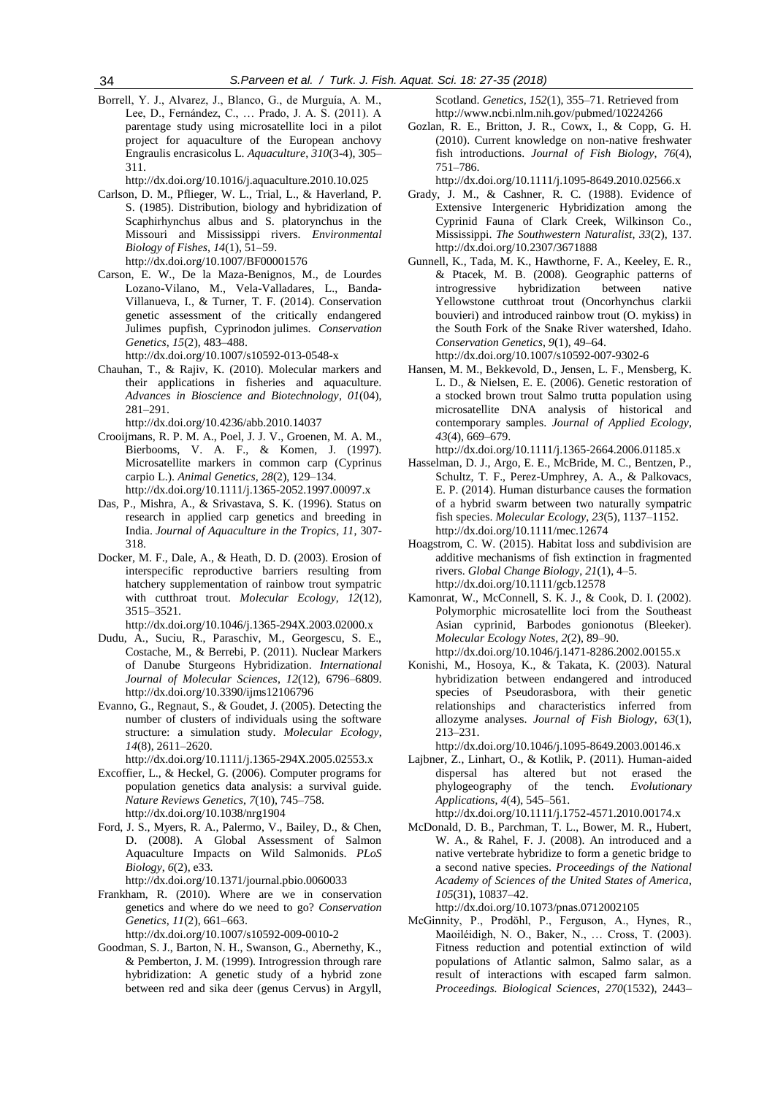Borrell, Y. J., Alvarez, J., Blanco, G., de Murguía, A. M., Lee, D., Fernández, C., … Prado, J. A. S. (2011). A parentage study using microsatellite loci in a pilot project for aquaculture of the European anchovy Engraulis encrasicolus L. *Aquaculture*, *310*(3-4), 305– 311.

http://dx.doi.org/10.1016/j.aquaculture.2010.10.025

- Carlson, D. M., Pflieger, W. L., Trial, L., & Haverland, P. S. (1985). Distribution, biology and hybridization of Scaphirhynchus albus and S. platorynchus in the Missouri and Mississippi rivers. *Environmental Biology of Fishes*, *14*(1), 51–59. http://dx.doi.org/10.1007/BF00001576
- Carson, E. W., De la Maza-Benignos, M., de Lourdes Lozano-Vilano, M., Vela-Valladares, L., Banda-Villanueva, I., & Turner, T. F. (2014). Conservation genetic assessment of the critically endangered Julimes pupfish, Cyprinodon julimes. *Conservation Genetics*, *15*(2), 483–488. http://dx.doi.org/10.1007/s10592-013-0548-x
- Chauhan, T., & Rajiv, K. (2010). Molecular markers and their applications in fisheries and aquaculture. *Advances in Bioscience and Biotechnology*, *01*(04), 281–291.

http://dx.doi.org/10.4236/abb.2010.14037

- Crooijmans, R. P. M. A., Poel, J. J. V., Groenen, M. A. M., Bierbooms, V. A. F., & Komen, J. (1997). Microsatellite markers in common carp (Cyprinus carpio L.). *Animal Genetics*, *28*(2), 129–134. http://dx.doi.org/10.1111/j.1365-2052.1997.00097.x
- Das, P., Mishra, A., & Srivastava, S. K. (1996). Status on research in applied carp genetics and breeding in India. *Journal of Aquaculture in the Tropics*, *11*, 307- 318.
- Docker, M. F., Dale, A., & Heath, D. D. (2003). Erosion of interspecific reproductive barriers resulting from hatchery supplementation of rainbow trout sympatric with cutthroat trout. *Molecular Ecology*, *12*(12), 3515–3521.

http://dx.doi.org/10.1046/j.1365-294X.2003.02000.x

- Dudu, A., Suciu, R., Paraschiv, M., Georgescu, S. E., Costache, M., & Berrebi, P. (2011). Nuclear Markers of Danube Sturgeons Hybridization. *International Journal of Molecular Sciences*, *12*(12), 6796–6809. http://dx.doi.org/10.3390/ijms12106796
- Evanno, G., Regnaut, S., & Goudet, J. (2005). Detecting the number of clusters of individuals using the software structure: a simulation study. *Molecular Ecology*, *14*(8), 2611–2620.

http://dx.doi.org/10.1111/j.1365-294X.2005.02553.x

- Excoffier, L., & Heckel, G. (2006). Computer programs for population genetics data analysis: a survival guide. *Nature Reviews Genetics*, *7*(10), 745–758. http://dx.doi.org/10.1038/nrg1904
- Ford, J. S., Myers, R. A., Palermo, V., Bailey, D., & Chen, D. (2008). A Global Assessment of Salmon Aquaculture Impacts on Wild Salmonids. *PLoS Biology*, *6*(2), e33. http://dx.doi.org/10.1371/journal.pbio.0060033
- Frankham, R. (2010). Where are we in conservation genetics and where do we need to go? *Conservation Genetics*, *11*(2), 661–663.

http://dx.doi.org/10.1007/s10592-009-0010-2

Goodman, S. J., Barton, N. H., Swanson, G., Abernethy, K., & Pemberton, J. M. (1999). Introgression through rare hybridization: A genetic study of a hybrid zone between red and sika deer (genus Cervus) in Argyll,

Scotland. *Genetics*, *152*(1), 355–71. Retrieved from http://www.ncbi.nlm.nih.gov/pubmed/10224266

Gozlan, R. E., Britton, J. R., Cowx, I., & Copp, G. H. (2010). Current knowledge on non-native freshwater fish introductions. *Journal of Fish Biology*, *76*(4), 751–786.

http://dx.doi.org/10.1111/j.1095-8649.2010.02566.x

- Grady, J. M., & Cashner, R. C. (1988). Evidence of Extensive Intergeneric Hybridization among the Cyprinid Fauna of Clark Creek, Wilkinson Co., Mississippi. *The Southwestern Naturalist*, *33*(2), 137. http://dx.doi.org/10.2307/3671888
- Gunnell, K., Tada, M. K., Hawthorne, F. A., Keeley, E. R., & Ptacek, M. B. (2008). Geographic patterns of introgressive hybridization between native Yellowstone cutthroat trout (Oncorhynchus clarkii bouvieri) and introduced rainbow trout (O. mykiss) in the South Fork of the Snake River watershed, Idaho. *Conservation Genetics*, *9*(1), 49–64. http://dx.doi.org/10.1007/s10592-007-9302-6
- Hansen, M. M., Bekkevold, D., Jensen, L. F., Mensberg, K. L. D., & Nielsen, E. E. (2006). Genetic restoration of a stocked brown trout Salmo trutta population using microsatellite DNA analysis of historical and contemporary samples. *Journal of Applied Ecology*, *43*(4), 669–679.

http://dx.doi.org/10.1111/j.1365-2664.2006.01185.x

- Hasselman, D. J., Argo, E. E., McBride, M. C., Bentzen, P., Schultz, T. F., Perez-Umphrey, A. A., & Palkovacs, E. P. (2014). Human disturbance causes the formation of a hybrid swarm between two naturally sympatric fish species. *Molecular Ecology*, *23*(5), 1137–1152. http://dx.doi.org/10.1111/mec.12674
- Hoagstrom, C. W. (2015). Habitat loss and subdivision are additive mechanisms of fish extinction in fragmented rivers. *Global Change Biology*, *21*(1), 4–5. http://dx.doi.org/10.1111/gcb.12578
- Kamonrat, W., McConnell, S. K. J., & Cook, D. I. (2002). Polymorphic microsatellite loci from the Southeast Asian cyprinid, Barbodes gonionotus (Bleeker). *Molecular Ecology Notes*, *2*(2), 89–90. http://dx.doi.org/10.1046/j.1471-8286.2002.00155.x
- Konishi, M., Hosoya, K., & Takata, K. (2003). Natural hybridization between endangered and introduced species of Pseudorasbora, with their genetic relationships and characteristics inferred from allozyme analyses. *Journal of Fish Biology*, *63*(1), 213–231.

http://dx.doi.org/10.1046/j.1095-8649.2003.00146.x

Lajbner, Z., Linhart, O., & Kotlik, P. (2011). Human-aided dispersal has altered but not erased the phylogeography of the tench. *Evolutionary Applications*, *4*(4), 545–561.

http://dx.doi.org/10.1111/j.1752-4571.2010.00174.x

McDonald, D. B., Parchman, T. L., Bower, M. R., Hubert, W. A., & Rahel, F. J. (2008). An introduced and a native vertebrate hybridize to form a genetic bridge to a second native species. *Proceedings of the National Academy of Sciences of the United States of America*, *105*(31), 10837–42.

http://dx.doi.org/10.1073/pnas.0712002105

McGinnity, P., Prodöhl, P., Ferguson, A., Hynes, R., Maoiléidigh, N. O., Baker, N., … Cross, T. (2003). Fitness reduction and potential extinction of wild populations of Atlantic salmon, Salmo salar, as a result of interactions with escaped farm salmon. *Proceedings. Biological Sciences*, *270*(1532), 2443–